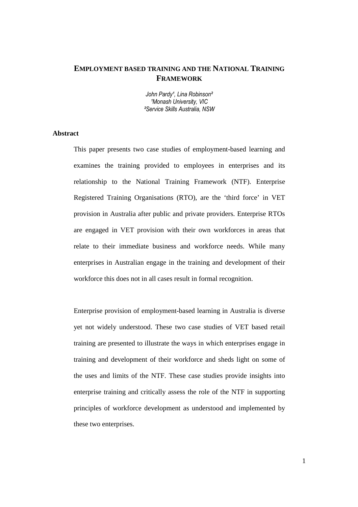# **EMPLOYMENT BASED TRAINING AND THE NATIONAL TRAINING FRAMEWORK**

John Pardy<sup>1</sup>, Lina Robinson<sup>2</sup> 'Monash University, VIC ²Service Skills Australia, NSW

# **Abstract**

This paper presents two case studies of employment-based learning and examines the training provided to employees in enterprises and its relationship to the National Training Framework (NTF). Enterprise Registered Training Organisations (RTO), are the 'third force' in VET provision in Australia after public and private providers. Enterprise RTOs are engaged in VET provision with their own workforces in areas that relate to their immediate business and workforce needs. While many enterprises in Australian engage in the training and development of their workforce this does not in all cases result in formal recognition.

Enterprise provision of employment-based learning in Australia is diverse yet not widely understood. These two case studies of VET based retail training are presented to illustrate the ways in which enterprises engage in training and development of their workforce and sheds light on some of the uses and limits of the NTF. These case studies provide insights into enterprise training and critically assess the role of the NTF in supporting principles of workforce development as understood and implemented by these two enterprises.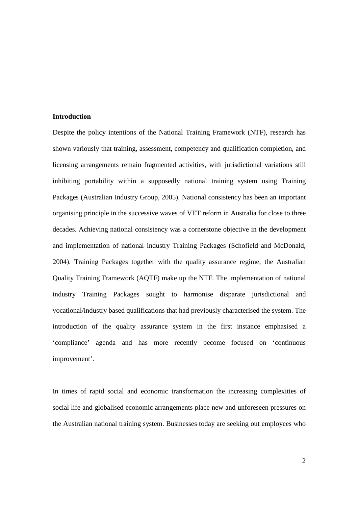# **Introduction**

Despite the policy intentions of the National Training Framework (NTF), research has shown variously that training, assessment, competency and qualification completion, and licensing arrangements remain fragmented activities, with jurisdictional variations still inhibiting portability within a supposedly national training system using Training Packages (Australian Industry Group, 2005). National consistency has been an important organising principle in the successive waves of VET reform in Australia for close to three decades. Achieving national consistency was a cornerstone objective in the development and implementation of national industry Training Packages (Schofield and McDonald, 2004). Training Packages together with the quality assurance regime, the Australian Quality Training Framework (AQTF) make up the NTF. The implementation of national industry Training Packages sought to harmonise disparate jurisdictional and vocational/industry based qualifications that had previously characterised the system. The introduction of the quality assurance system in the first instance emphasised a 'compliance' agenda and has more recently become focused on 'continuous improvement'.

In times of rapid social and economic transformation the increasing complexities of social life and globalised economic arrangements place new and unforeseen pressures on the Australian national training system. Businesses today are seeking out employees who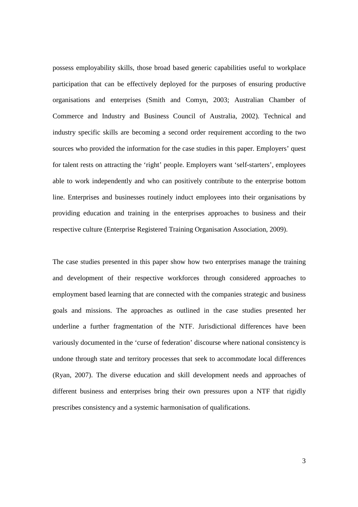possess employability skills, those broad based generic capabilities useful to workplace participation that can be effectively deployed for the purposes of ensuring productive organisations and enterprises (Smith and Comyn, 2003; Australian Chamber of Commerce and Industry and Business Council of Australia, 2002). Technical and industry specific skills are becoming a second order requirement according to the two sources who provided the information for the case studies in this paper. Employers' quest for talent rests on attracting the 'right' people. Employers want 'self-starters', employees able to work independently and who can positively contribute to the enterprise bottom line. Enterprises and businesses routinely induct employees into their organisations by providing education and training in the enterprises approaches to business and their respective culture (Enterprise Registered Training Organisation Association, 2009).

The case studies presented in this paper show how two enterprises manage the training and development of their respective workforces through considered approaches to employment based learning that are connected with the companies strategic and business goals and missions. The approaches as outlined in the case studies presented her underline a further fragmentation of the NTF. Jurisdictional differences have been variously documented in the 'curse of federation' discourse where national consistency is undone through state and territory processes that seek to accommodate local differences (Ryan, 2007). The diverse education and skill development needs and approaches of different business and enterprises bring their own pressures upon a NTF that rigidly prescribes consistency and a systemic harmonisation of qualifications.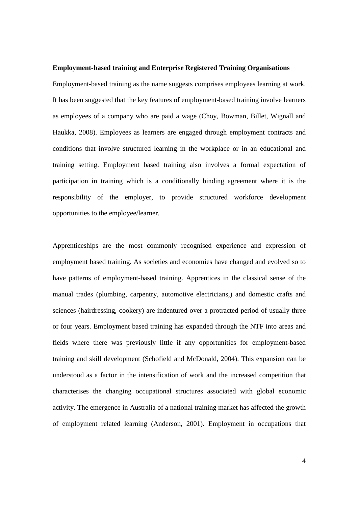### **Employment-based training and Enterprise Registered Training Organisations**

Employment-based training as the name suggests comprises employees learning at work. It has been suggested that the key features of employment-based training involve learners as employees of a company who are paid a wage (Choy, Bowman, Billet, Wignall and Haukka, 2008). Employees as learners are engaged through employment contracts and conditions that involve structured learning in the workplace or in an educational and training setting. Employment based training also involves a formal expectation of participation in training which is a conditionally binding agreement where it is the responsibility of the employer, to provide structured workforce development opportunities to the employee/learner.

Apprenticeships are the most commonly recognised experience and expression of employment based training. As societies and economies have changed and evolved so to have patterns of employment-based training. Apprentices in the classical sense of the manual trades (plumbing, carpentry, automotive electricians,) and domestic crafts and sciences (hairdressing, cookery) are indentured over a protracted period of usually three or four years. Employment based training has expanded through the NTF into areas and fields where there was previously little if any opportunities for employment-based training and skill development (Schofield and McDonald, 2004). This expansion can be understood as a factor in the intensification of work and the increased competition that characterises the changing occupational structures associated with global economic activity. The emergence in Australia of a national training market has affected the growth of employment related learning (Anderson, 2001). Employment in occupations that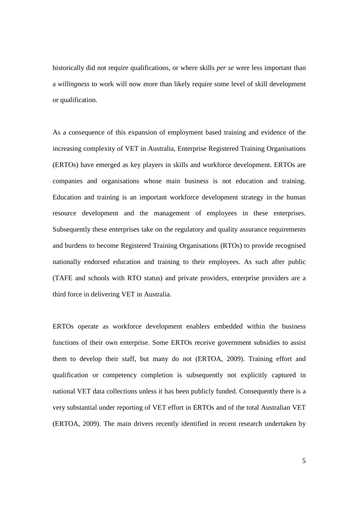historically did not require qualifications, or where skills *per se* were less important than a *willingness* to work will now more than likely require some level of skill development or qualification.

As a consequence of this expansion of employment based training and evidence of the increasing complexity of VET in Australia, Enterprise Registered Training Organisations (ERTOs) have emerged as key players in skills and workforce development. ERTOs are companies and organisations whose main business is not education and training. Education and training is an important workforce development strategy in the human resource development and the management of employees in these enterprises. Subsequently these enterprises take on the regulatory and quality assurance requirements and burdens to become Registered Training Organisations (RTOs) to provide recognised nationally endorsed education and training to their employees. As such after public (TAFE and schools with RTO status) and private providers, enterprise providers are a third force in delivering VET in Australia.

ERTOs operate as workforce development enablers embedded within the business functions of their own enterprise. Some ERTOs receive government subsidies to assist them to develop their staff, but many do not (ERTOA, 2009). Training effort and qualification or competency completion is subsequently not explicitly captured in national VET data collections unless it has been publicly funded. Consequently there is a very substantial under reporting of VET effort in ERTOs and of the total Australian VET (ERTOA, 2009). The main drivers recently identified in recent research undertaken by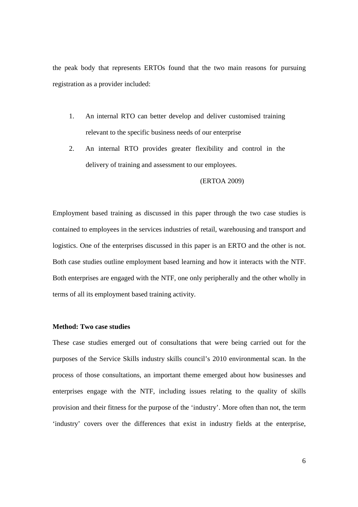the peak body that represents ERTOs found that the two main reasons for pursuing registration as a provider included:

- 1. An internal RTO can better develop and deliver customised training relevant to the specific business needs of our enterprise
- 2. An internal RTO provides greater flexibility and control in the delivery of training and assessment to our employees.

### (ERTOA 2009)

Employment based training as discussed in this paper through the two case studies is contained to employees in the services industries of retail, warehousing and transport and logistics. One of the enterprises discussed in this paper is an ERTO and the other is not. Both case studies outline employment based learning and how it interacts with the NTF. Both enterprises are engaged with the NTF, one only peripherally and the other wholly in terms of all its employment based training activity.

# **Method: Two case studies**

These case studies emerged out of consultations that were being carried out for the purposes of the Service Skills industry skills council's 2010 environmental scan. In the process of those consultations, an important theme emerged about how businesses and enterprises engage with the NTF, including issues relating to the quality of skills provision and their fitness for the purpose of the 'industry'. More often than not, the term 'industry' covers over the differences that exist in industry fields at the enterprise,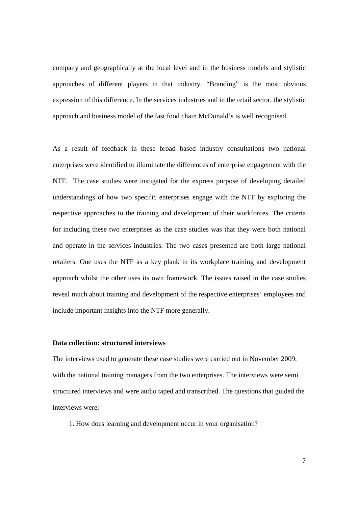company and geographically at the local level and in the business models and stylistic approaches of different players in that industry. "Branding" is the most obvious expression of this difference. In the services industries and in the retail sector, the stylistic approach and business model of the fast food chain McDonald's is well recognised.

As a result of feedback in these broad based industry consultations two national enterprises were identified to illuminate the differences of enterprise engagement with the NTF. The case studies were instigated for the express purpose of developing detailed understandings of how two specific enterprises engage with the NTF by exploring the respective approaches to the training and development of their workforces. The criteria for including these two enterprises as the case studies was that they were both national and operate in the services industries. The two cases presented are both large national retailers. One uses the NTF as a key plank in its workplace training and development approach whilst the other uses its own framework. The issues raised in the case studies reveal much about training and development of the respective enterprises' employees and include important insights into the NTF more generally.

# **Data collection: structured interviews**

The interviews used to generate these case studies were carried out in November 2009, with the national training managers from the two enterprises. The interviews were semi structured interviews and were audio taped and transcribed. The questions that guided the interviews were:

1. How does learning and development occur in your organisation?

7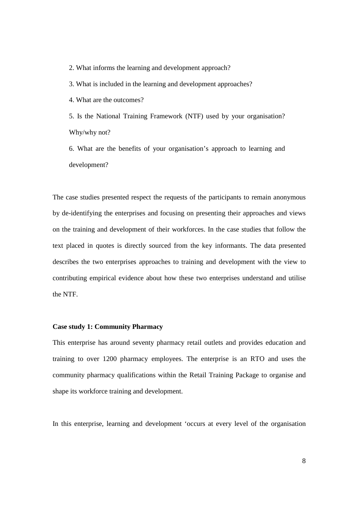2. What informs the learning and development approach?

3. What is included in the learning and development approaches?

4. What are the outcomes?

5. Is the National Training Framework (NTF) used by your organisation? Why/why not?

6. What are the benefits of your organisation's approach to learning and development?

The case studies presented respect the requests of the participants to remain anonymous by de-identifying the enterprises and focusing on presenting their approaches and views on the training and development of their workforces. In the case studies that follow the text placed in quotes is directly sourced from the key informants. The data presented describes the two enterprises approaches to training and development with the view to contributing empirical evidence about how these two enterprises understand and utilise the NTF.

# **Case study 1: Community Pharmacy**

This enterprise has around seventy pharmacy retail outlets and provides education and training to over 1200 pharmacy employees. The enterprise is an RTO and uses the community pharmacy qualifications within the Retail Training Package to organise and shape its workforce training and development.

In this enterprise, learning and development 'occurs at every level of the organisation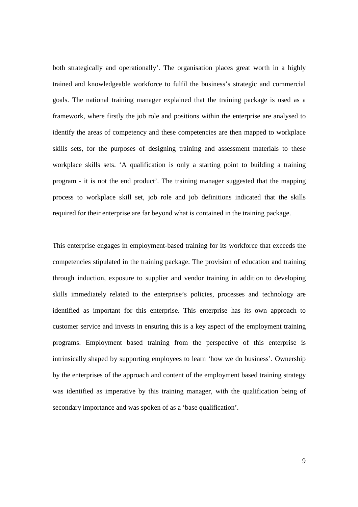both strategically and operationally'. The organisation places great worth in a highly trained and knowledgeable workforce to fulfil the business's strategic and commercial goals. The national training manager explained that the training package is used as a framework, where firstly the job role and positions within the enterprise are analysed to identify the areas of competency and these competencies are then mapped to workplace skills sets, for the purposes of designing training and assessment materials to these workplace skills sets. 'A qualification is only a starting point to building a training program - it is not the end product'. The training manager suggested that the mapping process to workplace skill set, job role and job definitions indicated that the skills required for their enterprise are far beyond what is contained in the training package.

This enterprise engages in employment-based training for its workforce that exceeds the competencies stipulated in the training package. The provision of education and training through induction, exposure to supplier and vendor training in addition to developing skills immediately related to the enterprise's policies, processes and technology are identified as important for this enterprise. This enterprise has its own approach to customer service and invests in ensuring this is a key aspect of the employment training programs. Employment based training from the perspective of this enterprise is intrinsically shaped by supporting employees to learn 'how we do business'. Ownership by the enterprises of the approach and content of the employment based training strategy was identified as imperative by this training manager, with the qualification being of secondary importance and was spoken of as a 'base qualification'.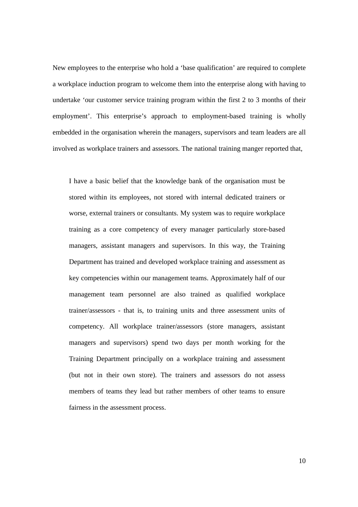New employees to the enterprise who hold a 'base qualification' are required to complete a workplace induction program to welcome them into the enterprise along with having to undertake 'our customer service training program within the first 2 to 3 months of their employment'. This enterprise's approach to employment-based training is wholly embedded in the organisation wherein the managers, supervisors and team leaders are all involved as workplace trainers and assessors. The national training manger reported that,

I have a basic belief that the knowledge bank of the organisation must be stored within its employees, not stored with internal dedicated trainers or worse, external trainers or consultants. My system was to require workplace training as a core competency of every manager particularly store-based managers, assistant managers and supervisors. In this way, the Training Department has trained and developed workplace training and assessment as key competencies within our management teams. Approximately half of our management team personnel are also trained as qualified workplace trainer/assessors - that is, to training units and three assessment units of competency. All workplace trainer/assessors (store managers, assistant managers and supervisors) spend two days per month working for the Training Department principally on a workplace training and assessment (but not in their own store). The trainers and assessors do not assess members of teams they lead but rather members of other teams to ensure fairness in the assessment process.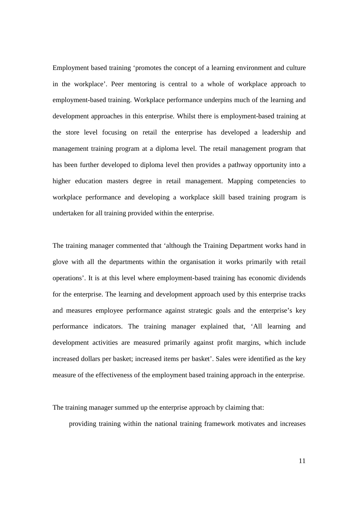Employment based training 'promotes the concept of a learning environment and culture in the workplace'. Peer mentoring is central to a whole of workplace approach to employment-based training. Workplace performance underpins much of the learning and development approaches in this enterprise. Whilst there is employment-based training at the store level focusing on retail the enterprise has developed a leadership and management training program at a diploma level. The retail management program that has been further developed to diploma level then provides a pathway opportunity into a higher education masters degree in retail management. Mapping competencies to workplace performance and developing a workplace skill based training program is undertaken for all training provided within the enterprise.

The training manager commented that 'although the Training Department works hand in glove with all the departments within the organisation it works primarily with retail operations'. It is at this level where employment-based training has economic dividends for the enterprise. The learning and development approach used by this enterprise tracks and measures employee performance against strategic goals and the enterprise's key performance indicators. The training manager explained that, 'All learning and development activities are measured primarily against profit margins, which include increased dollars per basket; increased items per basket'. Sales were identified as the key measure of the effectiveness of the employment based training approach in the enterprise.

The training manager summed up the enterprise approach by claiming that:

providing training within the national training framework motivates and increases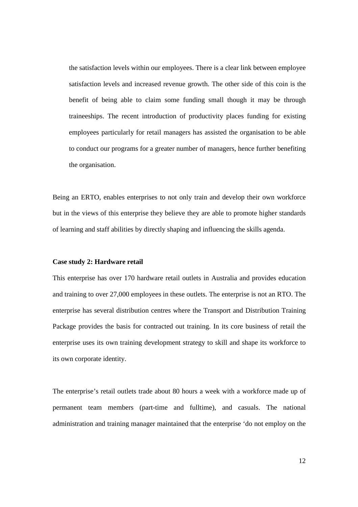the satisfaction levels within our employees. There is a clear link between employee satisfaction levels and increased revenue growth. The other side of this coin is the benefit of being able to claim some funding small though it may be through traineeships. The recent introduction of productivity places funding for existing employees particularly for retail managers has assisted the organisation to be able to conduct our programs for a greater number of managers, hence further benefiting the organisation.

Being an ERTO, enables enterprises to not only train and develop their own workforce but in the views of this enterprise they believe they are able to promote higher standards of learning and staff abilities by directly shaping and influencing the skills agenda.

### **Case study 2: Hardware retail**

This enterprise has over 170 hardware retail outlets in Australia and provides education and training to over 27,000 employees in these outlets. The enterprise is not an RTO. The enterprise has several distribution centres where the Transport and Distribution Training Package provides the basis for contracted out training. In its core business of retail the enterprise uses its own training development strategy to skill and shape its workforce to its own corporate identity.

The enterprise's retail outlets trade about 80 hours a week with a workforce made up of permanent team members (part-time and fulltime), and casuals. The national administration and training manager maintained that the enterprise 'do not employ on the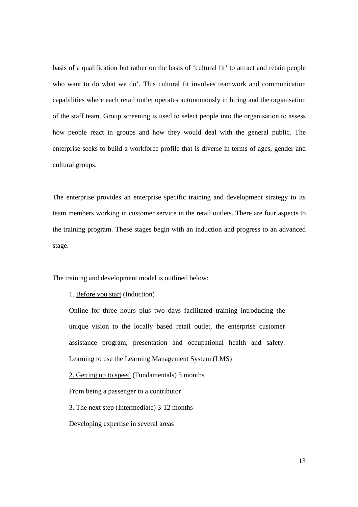basis of a qualification but rather on the basis of 'cultural fit' to attract and retain people who want to do what we do'. This cultural fit involves teamwork and communication capabilities where each retail outlet operates autonomously in hiring and the organisation of the staff team. Group screening is used to select people into the organisation to assess how people react in groups and how they would deal with the general public. The enterprise seeks to build a workforce profile that is diverse in terms of ages, gender and cultural groups.

The enterprise provides an enterprise specific training and development strategy to its team members working in customer service in the retail outlets. There are four aspects to the training program. These stages begin with an induction and progress to an advanced stage.

The training and development model is outlined below:

1. Before you start (Induction)

Online for three hours plus two days facilitated training introducing the unique vision to the locally based retail outlet, the enterprise customer assistance program, presentation and occupational health and safety. Learning to use the Learning Management System (LMS)

2. Getting up to speed (Fundamentals) 3 months

From being a passenger to a contributor

3. The next step (Intermediate) 3-12 months

Developing expertise in several areas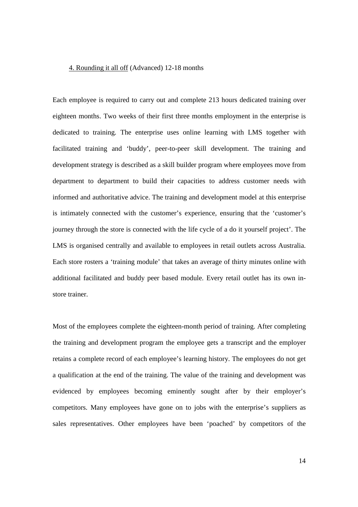### 4. Rounding it all off (Advanced) 12-18 months

Each employee is required to carry out and complete 213 hours dedicated training over eighteen months. Two weeks of their first three months employment in the enterprise is dedicated to training. The enterprise uses online learning with LMS together with facilitated training and 'buddy', peer-to-peer skill development. The training and development strategy is described as a skill builder program where employees move from department to department to build their capacities to address customer needs with informed and authoritative advice. The training and development model at this enterprise is intimately connected with the customer's experience, ensuring that the 'customer's journey through the store is connected with the life cycle of a do it yourself project'. The LMS is organised centrally and available to employees in retail outlets across Australia. Each store rosters a 'training module' that takes an average of thirty minutes online with additional facilitated and buddy peer based module. Every retail outlet has its own instore trainer.

Most of the employees complete the eighteen-month period of training. After completing the training and development program the employee gets a transcript and the employer retains a complete record of each employee's learning history. The employees do not get a qualification at the end of the training. The value of the training and development was evidenced by employees becoming eminently sought after by their employer's competitors. Many employees have gone on to jobs with the enterprise's suppliers as sales representatives. Other employees have been 'poached' by competitors of the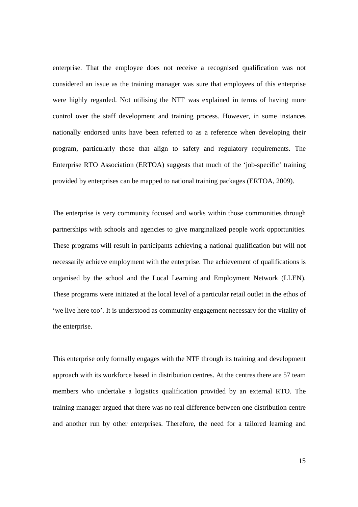enterprise. That the employee does not receive a recognised qualification was not considered an issue as the training manager was sure that employees of this enterprise were highly regarded. Not utilising the NTF was explained in terms of having more control over the staff development and training process. However, in some instances nationally endorsed units have been referred to as a reference when developing their program, particularly those that align to safety and regulatory requirements. The Enterprise RTO Association (ERTOA) suggests that much of the 'job-specific' training provided by enterprises can be mapped to national training packages (ERTOA, 2009).

The enterprise is very community focused and works within those communities through partnerships with schools and agencies to give marginalized people work opportunities. These programs will result in participants achieving a national qualification but will not necessarily achieve employment with the enterprise. The achievement of qualifications is organised by the school and the Local Learning and Employment Network (LLEN). These programs were initiated at the local level of a particular retail outlet in the ethos of 'we live here too'. It is understood as community engagement necessary for the vitality of the enterprise.

This enterprise only formally engages with the NTF through its training and development approach with its workforce based in distribution centres. At the centres there are 57 team members who undertake a logistics qualification provided by an external RTO. The training manager argued that there was no real difference between one distribution centre and another run by other enterprises. Therefore, the need for a tailored learning and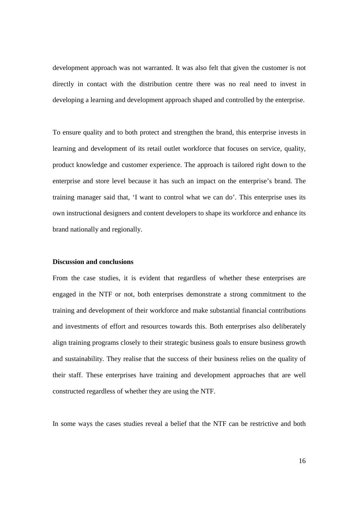development approach was not warranted. It was also felt that given the customer is not directly in contact with the distribution centre there was no real need to invest in developing a learning and development approach shaped and controlled by the enterprise.

To ensure quality and to both protect and strengthen the brand, this enterprise invests in learning and development of its retail outlet workforce that focuses on service, quality, product knowledge and customer experience. The approach is tailored right down to the enterprise and store level because it has such an impact on the enterprise's brand. The training manager said that, 'I want to control what we can do'. This enterprise uses its own instructional designers and content developers to shape its workforce and enhance its brand nationally and regionally.

### **Discussion and conclusions**

From the case studies, it is evident that regardless of whether these enterprises are engaged in the NTF or not, both enterprises demonstrate a strong commitment to the training and development of their workforce and make substantial financial contributions and investments of effort and resources towards this. Both enterprises also deliberately align training programs closely to their strategic business goals to ensure business growth and sustainability. They realise that the success of their business relies on the quality of their staff. These enterprises have training and development approaches that are well constructed regardless of whether they are using the NTF.

In some ways the cases studies reveal a belief that the NTF can be restrictive and both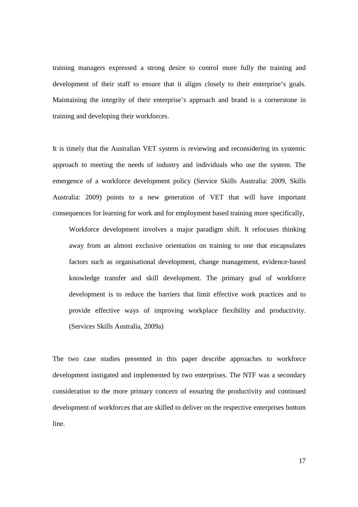training managers expressed a strong desire to control more fully the training and development of their staff to ensure that it aligns closely to their enterprise's goals. Maintaining the integrity of their enterprise's approach and brand is a cornerstone in training and developing their workforces.

It is timely that the Australian VET system is reviewing and reconsidering its systemic approach to meeting the needs of industry and individuals who use the system. The emergence of a workforce development policy (Service Skills Australia: 2009, Skills Australia: 2009) points to a new generation of VET that will have important consequences for learning for work and for employment based training more specifically,

Workforce development involves a major paradigm shift. It refocuses thinking away from an almost exclusive orientation on training to one that encapsulates factors such as organisational development, change management, evidence-based knowledge transfer and skill development. The primary goal of workforce development is to reduce the barriers that limit effective work practices and to provide effective ways of improving workplace flexibility and productivity. (Services Skills Australia, 2009a)

The two case studies presented in this paper describe approaches to workforce development instigated and implemented by two enterprises. The NTF was a secondary consideration to the more primary concern of ensuring the productivity and continued development of workforces that are skilled to deliver on the respective enterprises bottom line.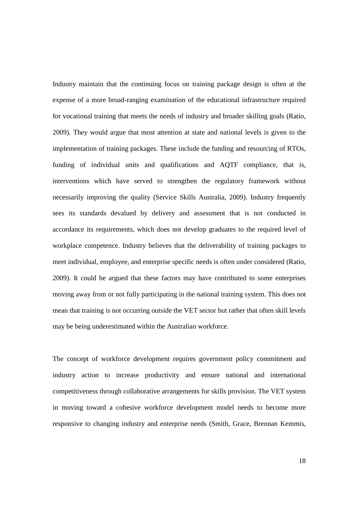Industry maintain that the continuing focus on training package design is often at the expense of a more broad-ranging examination of the educational infrastructure required for vocational training that meets the needs of industry and broader skilling goals (Ratio, 2009). They would argue that most attention at state and national levels is given to the implementation of training packages. These include the funding and resourcing of RTOs, funding of individual units and qualifications and AQTF compliance, that is, interventions which have served to strengthen the regulatory framework without necessarily improving the quality (Service Skills Australia, 2009). Industry frequently sees its standards devalued by delivery and assessment that is not conducted in accordance its requirements, which does not develop graduates to the required level of workplace competence. Industry believes that the deliverability of training packages to meet individual, employee, and enterprise specific needs is often under considered (Ratio, 2009). It could be argued that these factors may have contributed to some enterprises moving away from or not fully participating in the national training system. This does not mean that training is not occurring outside the VET sector but rather that often skill levels may be being underestimated within the Australian workforce.

The concept of workforce development requires government policy commitment and industry action to increase productivity and ensure national and international competitiveness through collaborative arrangements for skills provision. The VET system in moving toward a cohesive workforce development model needs to become more responsive to changing industry and enterprise needs (Smith, Grace, Brennan Kemmis,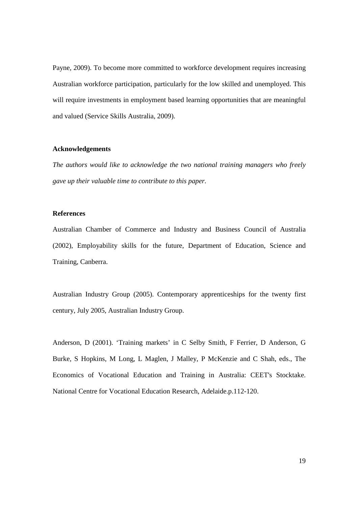Payne, 2009). To become more committed to workforce development requires increasing Australian workforce participation, particularly for the low skilled and unemployed. This will require investments in employment based learning opportunities that are meaningful and valued (Service Skills Australia, 2009).

### **Acknowledgements**

*The authors would like to acknowledge the two national training managers who freely gave up their valuable time to contribute to this paper.* 

### **References**

Australian Chamber of Commerce and Industry and Business Council of Australia (2002), Employability skills for the future, Department of Education, Science and Training, Canberra.

Australian Industry Group (2005). Contemporary apprenticeships for the twenty first century, July 2005, Australian Industry Group.

Anderson, D (2001). 'Training markets' in C Selby Smith, F Ferrier, D Anderson, G Burke, S Hopkins, M Long, L Maglen, J Malley, P McKenzie and C Shah, eds., The Economics of Vocational Education and Training in Australia: CEET's Stocktake. National Centre for Vocational Education Research, Adelaide.p.112-120.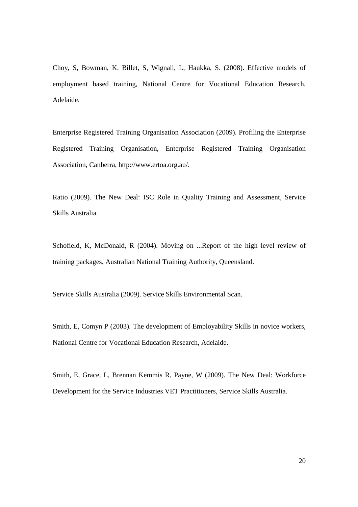Choy, S, Bowman, K. Billet, S, Wignall, L, Haukka, S. (2008). Effective models of employment based training, National Centre for Vocational Education Research, Adelaide.

Enterprise Registered Training Organisation Association (2009). Profiling the Enterprise Registered Training Organisation, Enterprise Registered Training Organisation Association, Canberra, http://www.ertoa.org.au/.

Ratio (2009). The New Deal: ISC Role in Quality Training and Assessment, Service Skills Australia.

Schofield, K, McDonald, R (2004). Moving on ...Report of the high level review of training packages, Australian National Training Authority, Queensland.

Service Skills Australia (2009). Service Skills Environmental Scan.

Smith, E, Comyn P (2003). The development of Employability Skills in novice workers, National Centre for Vocational Education Research, Adelaide.

Smith, E, Grace, L, Brennan Kemmis R, Payne, W (2009). The New Deal: Workforce Development for the Service Industries VET Practitioners, Service Skills Australia.